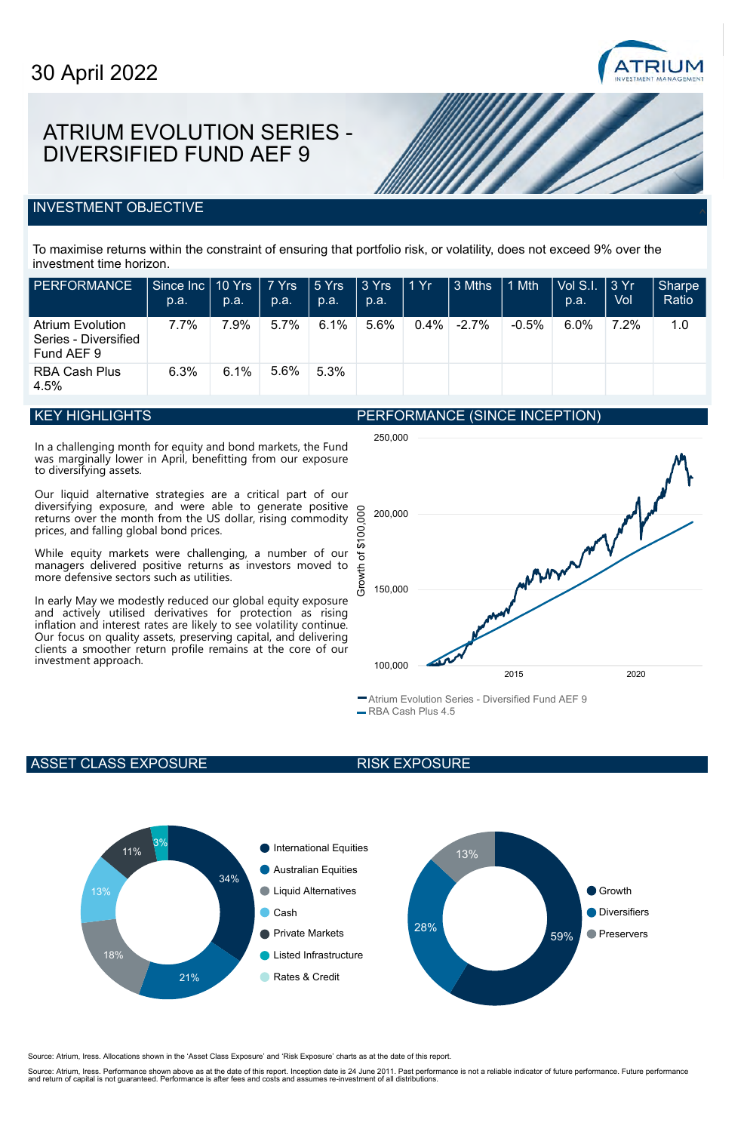

## ATRIUM EVOLUTION SERIES - DIVERSIFIED FUND AEF 9

### **INVESTMENT OBJECTIVE**

To maximise returns within the constraint of ensuring that portfolio risk, or volatility, does not exceed 9% over the investment time horizon.

| <b>PERFORMANCE</b>                                            | Since $\ln c$   10 Yrs   7 Yrs<br>p.a. | p.a. | p.a. | l 5 Yrs<br>p.a. | 3 Yrs<br>p.a. | 1Yr     | 3 Mths   | 1 Mth    | Vol S.I.<br>p.a. | $\frac{13}{1}$<br>Vol | Sharpe<br>Ratio |
|---------------------------------------------------------------|----------------------------------------|------|------|-----------------|---------------|---------|----------|----------|------------------|-----------------------|-----------------|
| <b>Atrium Evolution</b><br>Series - Diversified<br>Fund AEF 9 | 7.7%                                   | 7.9% | 5.7% | 6.1%            | 5.6%          | $0.4\%$ | $-2.7\%$ | $-0.5\%$ | $6.0\%$          | 7.2%                  | 1.0             |
| RBA Cash Plus<br>4.5%                                         | 6.3%                                   | 6.1% | 5.6% | 5.3%            |               |         |          |          |                  |                       |                 |

## **KEY HIGHLIGHTS**

In a challenging month for equity and bond markets, the Fund was marginally lower in April, benefitting from our exposure to diversifying assets.

Our liquid alternative strategies are a critical part of our diversifying exposure, and were able to generate positive returns over the month from the US dollar, rising commodity prices, and falling global bond prices.

While equity markets were challenging, a number of our managers delivered positive returns as investors moved to more defensive sectors such as utilities.

In early May we modestly reduced our global equity exposure and actively utilised derivatives for protection as rising inflation and interest rates are likely to see volatility continue. Our focus on quality assets, preserving capital, and delivering clients a smoother return profile remains at the core of our investment approach.



Atrium Evolution Series - Diversified Fund AEF 9 -RBA Cash Plus 4.5

PERFORMANCE (SINCE INCEPTION)

#### ASSET CLASS EXPOSURE

#### RISK EXPOSURE



Source: Atrium, Iress. Allocations shown in the 'Asset Class Exposure' and 'Risk Exposure' charts as at the date of this report.

Source: Atrium, Iress. Performance shown above as at the date of this report. Inception date is 24 June 2011. Past performance is not a reliable indicator of future performance. Future performance<br>and return of capital is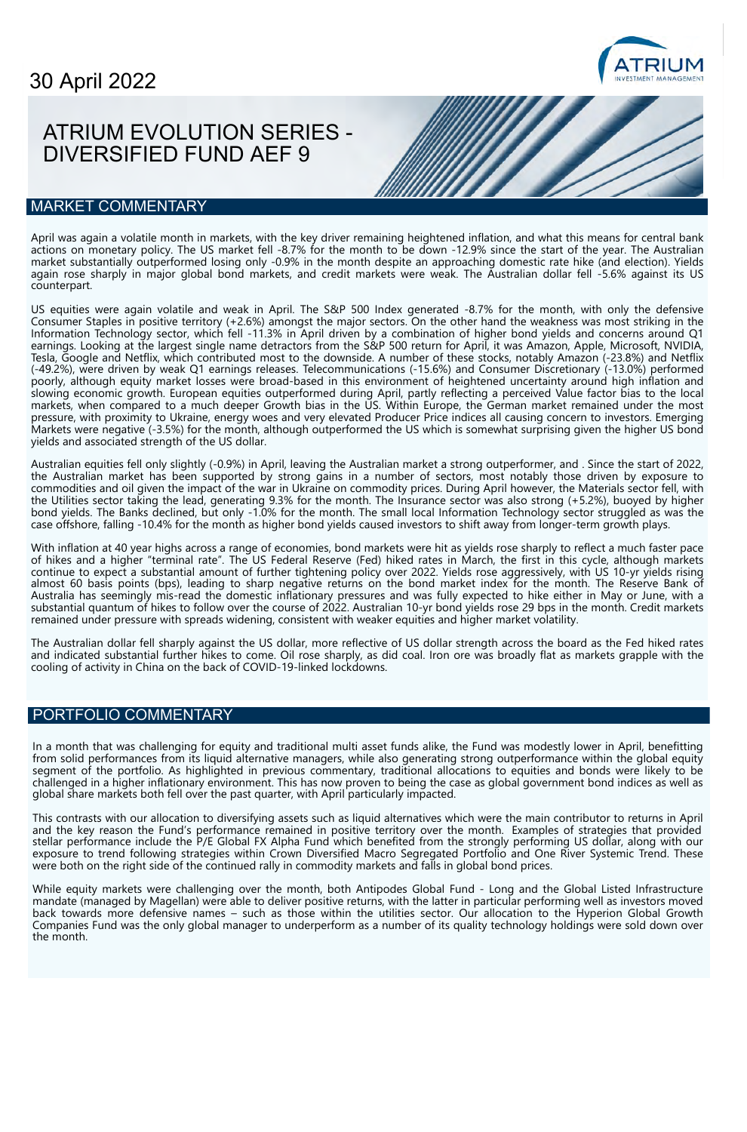# **ATRIUM**

# ATRIUM EVOLUTION SERIES - DIVERSIFIED FUND AEF 9

## MARKET COMMENTARY

April was again a volatile month in markets, with the key driver remaining heightened inflation, and what this means for central bank actions on monetary policy. The US market fell -8.7% for the month to be down -12.9% since the start of the year. The Australian market substantially outperformed losing only -0.9% in the month despite an approaching domestic rate hike (and election). Yields again rose sharply in major global bond markets, and credit markets were weak. The Australian dollar fell -5.6% against its US counterpart.

US equities were again volatile and weak in April. The S&P 500 Index generated -8.7% for the month, with only the defensive Consumer Staples in positive territory (+2.6%) amongst the major sectors. On the other hand the weakness was most striking in the Information Technology sector, which fell -11.3% in April driven by a combination of higher bond yields and concerns around Q1 earnings. Looking at the largest single name detractors from the S&P 500 return for April, it was Amazon, Apple, Microsoft, NVIDIA, Tesla, Google and Netflix, which contributed most to the downside. A number of these stocks, notably Amazon (-23.8%) and Netflix (-49.2%), were driven by weak Q1 earnings releases. Telecommunications (-15.6%) and Consumer Discretionary (-13.0%) performed poorly, although equity market losses were broad-based in this environment of heightened uncertainty around high inflation and slowing economic growth. European equities outperformed during April, partly reflecting a perceived Value factor bias to the local markets, when compared to a much deeper Growth bias in the US. Within Europe, the German market remained under the most pressure, with proximity to Ukraine, energy woes and very elevated Producer Price indices all causing concern to investors. Emerging Markets were negative (-3.5%) for the month, although outperformed the US which is somewhat surprising given the higher US bond yields and associated strength of the US dollar.

Australian equities fell only slightly (-0.9%) in April, leaving the Australian market a strong outperformer, and . Since the start of 2022, the Australian market has been supported by strong gains in a number of sectors, most notably those driven by exposure to commodities and oil given the impact of the war in Ukraine on commodity prices. During April however, the Materials sector fell, with the Utilities sector taking the lead, generating 9.3% for the month. The Insurance sector was also strong (+5.2%), buoyed by higher bond yields. The Banks declined, but only -1.0% for the month. The small local Information Technology sector struggled as was the case offshore, falling -10.4% for the month as higher bond yields caused investors to shift away from longer-term growth plays.

With inflation at 40 year highs across a range of economies, bond markets were hit as yields rose sharply to reflect a much faster pace of hikes and a higher "terminal rate". The US Federal Reserve (Fed) hiked rates in March, the first in this cycle, although markets continue to expect a substantial amount of further tightening policy over 2022. Yields rose aggressively, with US 10-yr yields rising almost 60 basis points (bps), leading to sharp negative returns on the bond market index for the month. The Reserve Bank of Australia has seemingly mis-read the domestic inflationary pressures and was fully expected to hike either in May or June, with a substantial quantum of hikes to follow over the course of 2022. Australian 10-yr bond yields rose 29 bps in the month. Credit markets remained under pressure with spreads widening, consistent with weaker equities and higher market volatility.

The Australian dollar fell sharply against the US dollar, more reflective of US dollar strength across the board as the Fed hiked rates and indicated substantial further hikes to come. Oil rose sharply, as did coal. Iron ore was broadly flat as markets grapple with the cooling of activity in China on the back of COVID-19-linked lockdowns.

## PORTFOLIO COMMENTARY

In a month that was challenging for equity and traditional multi asset funds alike, the Fund was modestly lower in April, benefitting from solid performances from its liquid alternative managers, while also generating strong outperformance within the global equity segment of the portfolio. As highlighted in previous commentary, traditional allocations to equities and bonds were likely to be challenged in a higher inflationary environment. This has now proven to being the case as global government bond indices as well as global share markets both fell over the past quarter, with April particularly impacted.

This contrasts with our allocation to diversifying assets such as liquid alternatives which were the main contributor to returns in April and the key reason the Fund's performance remained in positive territory over the month. Examples of strategies that provided stellar performance include the P/E Global FX Alpha Fund which benefited from the strongly performing US dollar, along with our exposure to trend following strategies within Crown Diversified Macro Segregated Portfolio and One River Systemic Trend. These were both on the right side of the continued rally in commodity markets and falls in global bond prices.

While equity markets were challenging over the month, both Antipodes Global Fund - Long and the Global Listed Infrastructure mandate (managed by Magellan) were able to deliver positive returns, with the latter in particular performing well as investors moved back towards more defensive names – such as those within the utilities sector. Our allocation to the Hyperion Global Growth Companies Fund was the only global manager to underperform as a number of its quality technology holdings were sold down over the month.